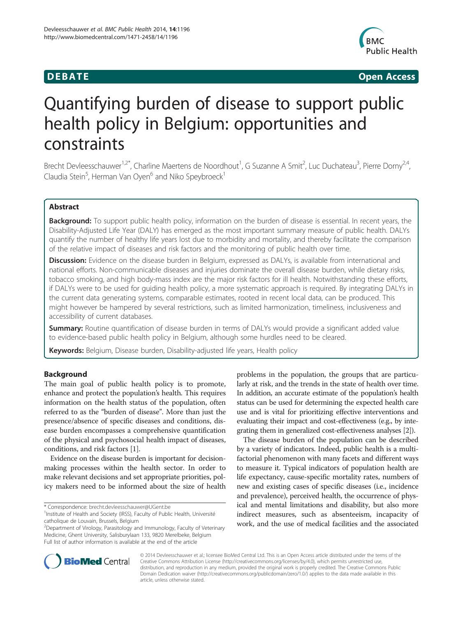

**DEBATE CONSIDERED ACCESS Open Access** 

# Quantifying burden of disease to support public health policy in Belgium: opportunities and constraints

Brecht Devleesschauwer<sup>1,2\*</sup>, Charline Maertens de Noordhout<sup>1</sup>, G Suzanne A Smit<sup>2</sup>, Luc Duchateau<sup>3</sup>, Pierre Dorny<sup>2,4</sup>, Claudia Stein<sup>5</sup>, Herman Van Oyen<sup>6</sup> and Niko Speybroeck<sup>1</sup>

# Abstract

Background: To support public health policy, information on the burden of disease is essential. In recent years, the Disability-Adjusted Life Year (DALY) has emerged as the most important summary measure of public health. DALYs quantify the number of healthy life years lost due to morbidity and mortality, and thereby facilitate the comparison of the relative impact of diseases and risk factors and the monitoring of public health over time.

Discussion: Evidence on the disease burden in Belgium, expressed as DALYs, is available from international and national efforts. Non-communicable diseases and injuries dominate the overall disease burden, while dietary risks, tobacco smoking, and high body-mass index are the major risk factors for ill health. Notwithstanding these efforts, if DALYs were to be used for guiding health policy, a more systematic approach is required. By integrating DALYs in the current data generating systems, comparable estimates, rooted in recent local data, can be produced. This might however be hampered by several restrictions, such as limited harmonization, timeliness, inclusiveness and accessibility of current databases.

**Summary:** Routine quantification of disease burden in terms of DALYs would provide a significant added value to evidence-based public health policy in Belgium, although some hurdles need to be cleared.

Keywords: Belgium, Disease burden, Disability-adjusted life years, Health policy

# Background

The main goal of public health policy is to promote, enhance and protect the population's health. This requires information on the health status of the population, often referred to as the "burden of disease". More than just the presence/absence of specific diseases and conditions, disease burden encompasses a comprehensive quantification of the physical and psychosocial health impact of diseases, conditions, and risk factors [[1](#page-6-0)].

Evidence on the disease burden is important for decisionmaking processes within the health sector. In order to make relevant decisions and set appropriate priorities, policy makers need to be informed about the size of health

\* Correspondence: [brecht.devleesschauwer@UGent.be](mailto:brecht.devleesschauwer@UGent.be) <sup>1</sup>

problems in the population, the groups that are particularly at risk, and the trends in the state of health over time. In addition, an accurate estimate of the population's health status can be used for determining the expected health care use and is vital for prioritizing effective interventions and evaluating their impact and cost-effectiveness (e.g., by integrating them in generalized cost-effectiveness analyses [[2\]](#page-6-0)).

The disease burden of the population can be described by a variety of indicators. Indeed, public health is a multifactorial phenomenon with many facets and different ways to measure it. Typical indicators of population health are life expectancy, cause-specific mortality rates, numbers of new and existing cases of specific diseases (i.e., incidence and prevalence), perceived health, the occurrence of physical and mental limitations and disability, but also more indirect measures, such as absenteeism, incapacity of work, and the use of medical facilities and the associated



© 2014 Devleesschauwer et al.; licensee BioMed Central Ltd. This is an Open Access article distributed under the terms of the Creative Commons Attribution License (<http://creativecommons.org/licenses/by/4.0>), which permits unrestricted use, distribution, and reproduction in any medium, provided the original work is properly credited. The Creative Commons Public Domain Dedication waiver [\(http://creativecommons.org/publicdomain/zero/1.0/\)](http://creativecommons.org/publicdomain/zero/1.0/) applies to the data made available in this article, unless otherwise stated.

<sup>&</sup>lt;sup>1</sup> Institute of Health and Society (IRSS), Faculty of Public Health, Université catholique de Louvain, Brussels, Belgium

<sup>2</sup> Department of Virology, Parasitology and Immunology, Faculty of Veterinary Medicine, Ghent University, Salisburylaan 133, 9820 Merelbeke, Belgium Full list of author information is available at the end of the article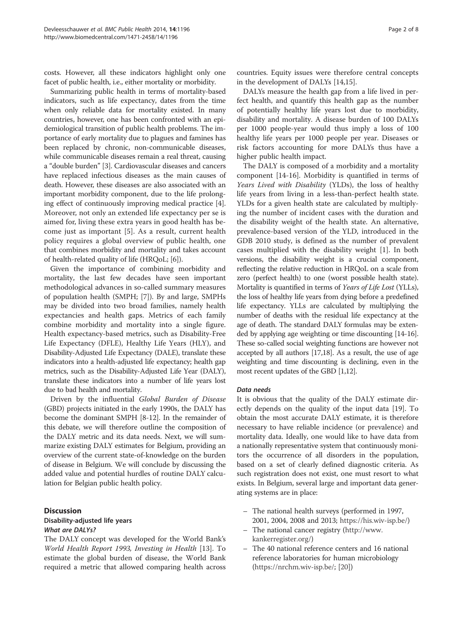costs. However, all these indicators highlight only one facet of public health, i.e., either mortality or morbidity.

Summarizing public health in terms of mortality-based indicators, such as life expectancy, dates from the time when only reliable data for mortality existed. In many countries, however, one has been confronted with an epidemiological transition of public health problems. The importance of early mortality due to plagues and famines has been replaced by chronic, non-communicable diseases, while communicable diseases remain a real threat, causing a "double burden" [[3](#page-6-0)]. Cardiovascular diseases and cancers have replaced infectious diseases as the main causes of death. However, these diseases are also associated with an important morbidity component, due to the life prolonging effect of continuously improving medical practice [[4](#page-6-0)]. Moreover, not only an extended life expectancy per se is aimed for, living these extra years in good health has become just as important [\[5](#page-6-0)]. As a result, current health policy requires a global overview of public health, one that combines morbidity and mortality and takes account of health-related quality of life (HRQoL; [\[6](#page-6-0)]).

Given the importance of combining morbidity and mortality, the last few decades have seen important methodological advances in so-called summary measures of population health (SMPH; [\[7](#page-6-0)]). By and large, SMPHs may be divided into two broad families, namely health expectancies and health gaps. Metrics of each family combine morbidity and mortality into a single figure. Health expectancy-based metrics, such as Disability-Free Life Expectancy (DFLE), Healthy Life Years (HLY), and Disability-Adjusted Life Expectancy (DALE), translate these indicators into a health-adjusted life expectancy; health gap metrics, such as the Disability-Adjusted Life Year (DALY), translate these indicators into a number of life years lost due to bad health and mortality.

Driven by the influential Global Burden of Disease (GBD) projects initiated in the early 1990s, the DALY has become the dominant SMPH [\[8](#page-6-0)-[12](#page-6-0)]. In the remainder of this debate, we will therefore outline the composition of the DALY metric and its data needs. Next, we will summarize existing DALY estimates for Belgium, providing an overview of the current state-of-knowledge on the burden of disease in Belgium. We will conclude by discussing the added value and potential hurdles of routine DALY calculation for Belgian public health policy.

# **Discussion**

# Disability-adjusted life years What are DALYs?

The DALY concept was developed for the World Bank's World Health Report 1993, Investing in Health [[13\]](#page-6-0). To estimate the global burden of disease, the World Bank required a metric that allowed comparing health across

DALYs measure the health gap from a life lived in perfect health, and quantify this health gap as the number of potentially healthy life years lost due to morbidity, disability and mortality. A disease burden of 100 DALYs per 1000 people-year would thus imply a loss of 100 healthy life years per 1000 people per year. Diseases or risk factors accounting for more DALYs thus have a higher public health impact.

The DALY is composed of a morbidity and a mortality component [\[14](#page-6-0)-[16\]](#page-6-0). Morbidity is quantified in terms of Years Lived with Disability (YLDs), the loss of healthy life years from living in a less-than-perfect health state. YLDs for a given health state are calculated by multiplying the number of incident cases with the duration and the disability weight of the health state. An alternative, prevalence-based version of the YLD, introduced in the GDB 2010 study, is defined as the number of prevalent cases multiplied with the disability weight [[1\]](#page-6-0). In both versions, the disability weight is a crucial component, reflecting the relative reduction in HRQoL on a scale from zero (perfect health) to one (worst possible health state). Mortality is quantified in terms of Years of Life Lost (YLLs), the loss of healthy life years from dying before a predefined life expectancy. YLLs are calculated by multiplying the number of deaths with the residual life expectancy at the age of death. The standard DALY formulas may be extended by applying age weighting or time discounting [\[14-16](#page-6-0)]. These so-called social weighting functions are however not accepted by all authors [[17,18\]](#page-6-0). As a result, the use of age weighting and time discounting is declining, even in the most recent updates of the GBD [\[1,12\]](#page-6-0).

### Data needs

It is obvious that the quality of the DALY estimate directly depends on the quality of the input data [[19\]](#page-6-0). To obtain the most accurate DALY estimate, it is therefore necessary to have reliable incidence (or prevalence) and mortality data. Ideally, one would like to have data from a nationally representative system that continuously monitors the occurrence of all disorders in the population, based on a set of clearly defined diagnostic criteria. As such registration does not exist, one must resort to what exists. In Belgium, several large and important data generating systems are in place:

- The national health surveys (performed in 1997, 2001, 2004, 2008 and 2013; <https://his.wiv-isp.be/>)
- The national cancer registry [\(http://www.](http://www.kankerregister.org/) [kankerregister.org/](http://www.kankerregister.org/))
- The 40 national reference centers and 16 national reference laboratories for human microbiology (<https://nrchm.wiv-isp.be/>; [\[20\]](#page-6-0))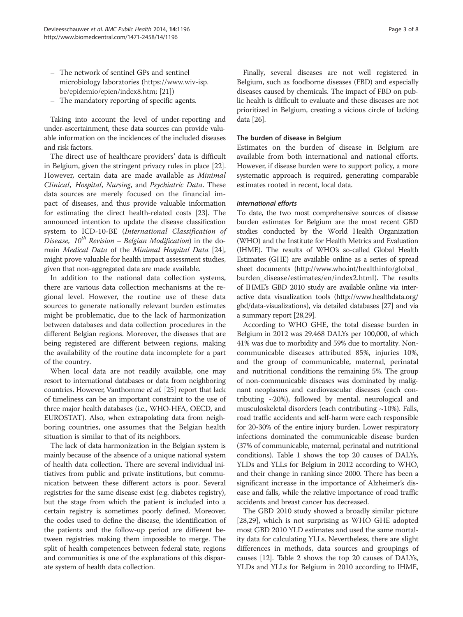- The network of sentinel GPs and sentinel microbiology laboratories [\(https://www.wiv-isp.](https://www.wiv-isp.be/epidemio/epien/index8.htm) [be/epidemio/epien/index8.htm](https://www.wiv-isp.be/epidemio/epien/index8.htm); [\[21\]](#page-6-0))
- The mandatory reporting of specific agents.

Taking into account the level of under-reporting and under-ascertainment, these data sources can provide valuable information on the incidences of the included diseases and risk factors.

The direct use of healthcare providers' data is difficult in Belgium, given the stringent privacy rules in place [[22](#page-6-0)]. However, certain data are made available as Minimal Clinical, Hospital, Nursing, and Psychiatric Data. These data sources are merely focused on the financial impact of diseases, and thus provide valuable information for estimating the direct health-related costs [[23](#page-6-0)]. The announced intention to update the disease classification system to ICD-10-BE (International Classification of Disease,  $10^{th}$  Revision – Belgian Modification) in the domain Medical Data of the Minimal Hospital Data [[24](#page-6-0)], might prove valuable for health impact assessment studies, given that non-aggregated data are made available.

In addition to the national data collection systems, there are various data collection mechanisms at the regional level. However, the routine use of these data sources to generate nationally relevant burden estimates might be problematic, due to the lack of harmonization between databases and data collection procedures in the different Belgian regions. Moreover, the diseases that are being registered are different between regions, making the availability of the routine data incomplete for a part of the country.

When local data are not readily available, one may resort to international databases or data from neighboring countries. However, Vanthomme et al. [\[25\]](#page-6-0) report that lack of timeliness can be an important constraint to the use of three major health databases (i.e., WHO-HFA, OECD, and EUROSTAT). Also, when extrapolating data from neighboring countries, one assumes that the Belgian health situation is similar to that of its neighbors.

The lack of data harmonization in the Belgian system is mainly because of the absence of a unique national system of health data collection. There are several individual initiatives from public and private institutions, but communication between these different actors is poor. Several registries for the same disease exist (e.g. diabetes registry), but the stage from which the patient is included into a certain registry is sometimes poorly defined. Moreover, the codes used to define the disease, the identification of the patients and the follow-up period are different between registries making them impossible to merge. The split of health competences between federal state, regions and communities is one of the explanations of this disparate system of health data collection.

Finally, several diseases are not well registered in Belgium, such as foodborne diseases (FBD) and especially diseases caused by chemicals. The impact of FBD on public health is difficult to evaluate and these diseases are not prioritized in Belgium, creating a vicious circle of lacking data [\[26\]](#page-6-0).

# The burden of disease in Belgium

Estimates on the burden of disease in Belgium are available from both international and national efforts. However, if disease burden were to support policy, a more systematic approach is required, generating comparable estimates rooted in recent, local data.

# International efforts

To date, the two most comprehensive sources of disease burden estimates for Belgium are the most recent GBD studies conducted by the World Health Organization (WHO) and the Institute for Health Metrics and Evaluation (IHME). The results of WHO's so-called Global Health Estimates (GHE) are available online as a series of spread sheet documents ([http://www.who.int/healthinfo/global\\_](http://www.who.int/healthinfo/global_burden_disease/estimates/en/index2.html) [burden\\_disease/estimates/en/index2.html\)](http://www.who.int/healthinfo/global_burden_disease/estimates/en/index2.html). The results of IHME's GBD 2010 study are available online via interactive data visualization tools [\(http://www.healthdata.org/](http://www.healthdata.org/gbd/data-visualizations) [gbd/data-visualizations](http://www.healthdata.org/gbd/data-visualizations)), via detailed databases [[27](#page-6-0)] and via a summary report [[28,29](#page-6-0)].

According to WHO GHE, the total disease burden in Belgium in 2012 was 29.468 DALYs per 100,000, of which 41% was due to morbidity and 59% due to mortality. Noncommunicable diseases attributed 85%, injuries 10%, and the group of communicable, maternal, perinatal and nutritional conditions the remaining 5%. The group of non-communicable diseases was dominated by malignant neoplasms and cardiovascular diseases (each contributing  $\sim$ 20%), followed by mental, neurological and musculoskeletal disorders (each contributing ~10%). Falls, road traffic accidents and self-harm were each responsible for 20-30% of the entire injury burden. Lower respiratory infections dominated the communicable disease burden (37% of communicable, maternal, perinatal and nutritional conditions). Table [1](#page-3-0) shows the top 20 causes of DALYs, YLDs and YLLs for Belgium in 2012 according to WHO, and their change in ranking since 2000. There has been a significant increase in the importance of Alzheimer's disease and falls, while the relative importance of road traffic accidents and breast cancer has decreased.

The GBD 2010 study showed a broadly similar picture [[28,29\]](#page-6-0), which is not surprising as WHO GHE adopted most GBD 2010 YLD estimates and used the same mortality data for calculating YLLs. Nevertheless, there are slight differences in methods, data sources and groupings of causes [\[12](#page-6-0)]. Table [2](#page-4-0) shows the top 20 causes of DALYs, YLDs and YLLs for Belgium in 2010 according to IHME,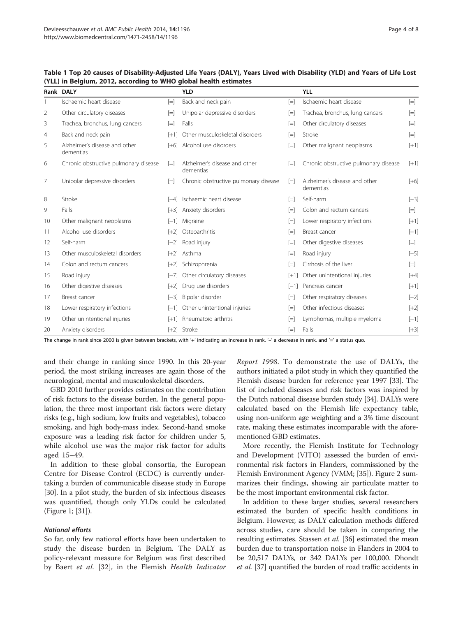|                | Rank DALY                                  |                 | <b>YLD</b>                                 |        | <b>YLL</b>                                 |        |
|----------------|--------------------------------------------|-----------------|--------------------------------------------|--------|--------------------------------------------|--------|
|                | Ischaemic heart disease                    | $\vert = \vert$ | Back and neck pain                         | $=$    | Ischaemic heart disease                    | $=$    |
| 2              | Other circulatory diseases                 | $\vert = \vert$ | Unipolar depressive disorders              | $=$    | Trachea, bronchus, lung cancers            | $=$    |
| 3              | Trachea, bronchus, lung cancers            | $=$             | Falls                                      | $=$    | Other circulatory diseases                 | $=$    |
| $\overline{4}$ | Back and neck pain                         |                 | [+1] Other musculoskeletal disorders       | $=$    | Stroke                                     | $=$    |
| 5              | Alzheimer's disease and other<br>dementias |                 | [+6] Alcohol use disorders                 | $=$    | Other malignant neoplasms                  | $[+1]$ |
| 6              | Chronic obstructive pulmonary disease      | $=$             | Alzheimer's disease and other<br>dementias | $=$    | Chronic obstructive pulmonary disease      | $[+1]$ |
| 7              | Unipolar depressive disorders              | $=$             | Chronic obstructive pulmonary disease      | $=$    | Alzheimer's disease and other<br>dementias | $[+6]$ |
| 8              | Stroke                                     | $[-4]$          | Ischaemic heart disease                    | $=$    | Self-harm                                  | $[-3]$ |
| 9              | Falls                                      |                 | [+3] Anxiety disorders                     | $=$    | Colon and rectum cancers                   | $=$    |
| 10             | Other malignant neoplasms                  |                 | [-1] Migraine                              | $=$    | Lower respiratory infections               | $[+1]$ |
| 11             | Alcohol use disorders                      | $[+2]$          | Osteoarthritis                             | $=$    | Breast cancer                              | $[-1]$ |
| 12             | Self-harm                                  | $[-2]$          | Road injury                                | $=$    | Other digestive diseases                   | $=$    |
| 13             | Other musculoskeletal disorders            | $[+2]$          | Asthma                                     | $=$    | Road injury                                | $[-5]$ |
| 14             | Colon and rectum cancers                   |                 | [+2] Schizophrenia                         | $=$    | Cirrhosis of the liver                     | $=$    |
| 15             | Road injury                                | $[-7]$          | Other circulatory diseases                 | $[+1]$ | Other unintentional injuries               | $[+4]$ |
| 16             | Other digestive diseases                   | $[+2]$          | Drug use disorders                         | $[-1]$ | Pancreas cancer                            | $[+1]$ |
| 17             | Breast cancer                              | $[-3]$          | Bipolar disorder                           | $=$    | Other respiratory diseases                 | $[-2]$ |
| 18             | Lower respiratory infections               |                 | [-1] Other unintentional injuries          | $=$    | Other infectious diseases                  | $[+2]$ |
| 19             | Other unintentional injuries               | $[+1]$          | Rheumatoid arthritis                       | $=$    | Lymphomas, multiple myeloma                | $[-1]$ |
| 20             | Anxiety disorders                          |                 | [+2] Stroke                                | $=$    | Falls                                      | $[+3]$ |

# <span id="page-3-0"></span>Table 1 Top 20 causes of Disability-Adjusted Life Years (DALY), Years Lived with Disability (YLD) and Years of Life Lost (YLL) in Belgium, 2012, according to WHO global health estimates

The change in rank since 2000 is given between brackets, with '+' indicating an increase in rank, '-' a decrease in rank, and '=' a status quo.

and their change in ranking since 1990. In this 20-year period, the most striking increases are again those of the neurological, mental and musculoskeletal disorders.

GBD 2010 further provides estimates on the contribution of risk factors to the disease burden. In the general population, the three most important risk factors were dietary risks (e.g., high sodium, low fruits and vegetables), tobacco smoking, and high body-mass index. Second-hand smoke exposure was a leading risk factor for children under 5, while alcohol use was the major risk factor for adults aged 15–49.

In addition to these global consortia, the European Centre for Disease Control (ECDC) is currently undertaking a burden of communicable disease study in Europe [[30](#page-6-0)]. In a pilot study, the burden of six infectious diseases was quantified, though only YLDs could be calculated (Figure [1](#page-4-0); [\[31\]](#page-6-0)).

# National efforts

So far, only few national efforts have been undertaken to study the disease burden in Belgium. The DALY as policy-relevant measure for Belgium was first described by Baert et al. [[32\]](#page-6-0), in the Flemish Health Indicator Report 1998. To demonstrate the use of DALYs, the authors initiated a pilot study in which they quantified the Flemish disease burden for reference year 1997 [\[33\]](#page-6-0). The list of included diseases and risk factors was inspired by the Dutch national disease burden study [[34](#page-7-0)]. DALYs were calculated based on the Flemish life expectancy table, using non-uniform age weighting and a 3% time discount rate, making these estimates incomparable with the aforementioned GBD estimates.

More recently, the Flemish Institute for Technology and Development (VITO) assessed the burden of environmental risk factors in Flanders, commissioned by the Flemish Environment Agency (VMM; [\[35\]](#page-7-0)). Figure [2](#page-5-0) summarizes their findings, showing air particulate matter to be the most important environmental risk factor.

In addition to these larger studies, several researchers estimated the burden of specific health conditions in Belgium. However, as DALY calculation methods differed across studies, care should be taken in comparing the resulting estimates. Stassen *et al.* [\[36](#page-7-0)] estimated the mean burden due to transportation noise in Flanders in 2004 to be 20,517 DALYs, or 342 DALYs per 100,000. Dhondt et al. [\[37\]](#page-7-0) quantified the burden of road traffic accidents in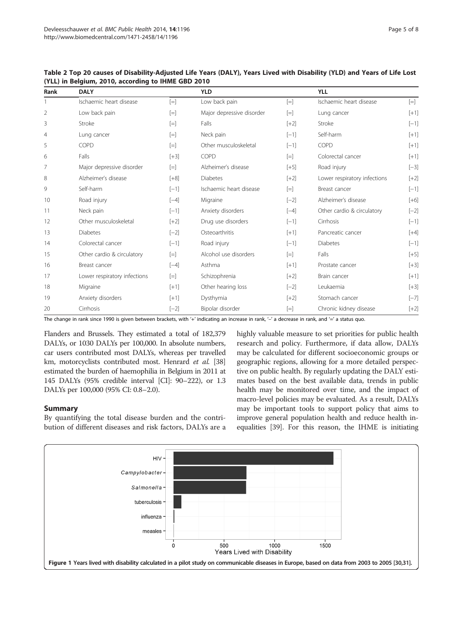| Rank           | <b>DALY</b>                  |        | <b>YLD</b>                |        | <b>YLL</b>                   |        |
|----------------|------------------------------|--------|---------------------------|--------|------------------------------|--------|
|                | Ischaemic heart disease      | $=$    | Low back pain             | $[=]$  | Ischaemic heart disease      | $=$    |
| 2              | Low back pain                | $=$    | Major depressive disorder | $=$    | Lung cancer                  | $[+1]$ |
| 3              | Stroke                       | $=$    | Falls                     | $[+2]$ | Stroke                       | $[-1]$ |
| 4              | Lung cancer                  | $[=]$  | Neck pain                 | $[-1]$ | Self-harm                    | $[+1]$ |
| 5              | COPD                         | $=$    | Other musculoskeletal     | $[-1]$ | COPD                         | $[+1]$ |
| 6              | Falls                        | $[+3]$ | COPD                      | $[=]$  | Colorectal cancer            | $[+1]$ |
| $\overline{7}$ | Major depressive disorder    | $=$    | Alzheimer's disease       | $[+5]$ | Road injury                  | $[-3]$ |
| 8              | Alzheimer's disease          | $[+8]$ | <b>Diabetes</b>           | $[+2]$ | Lower respiratory infections | $[+2]$ |
| 9              | Self-harm                    | $[-1]$ | Ischaemic heart disease   | $=$    | Breast cancer                | $[-1]$ |
| 10             | Road injury                  | $[-4]$ | Migraine                  | $[-2]$ | Alzheimer's disease          | $[+6]$ |
| 11             | Neck pain                    | $[-1]$ | Anxiety disorders         | $[-4]$ | Other cardio & circulatory   | $[-2]$ |
| 12             | Other musculoskeletal        | $[+2]$ | Drug use disorders        | $[-1]$ | Cirrhosis                    | $[-1]$ |
| 13             | <b>Diabetes</b>              | $[-2]$ | Osteoarthritis            | $[+1]$ | Pancreatic cancer            | $[+4]$ |
| 14             | Colorectal cancer            | $[-1]$ | Road injury               | $[-1]$ | <b>Diabetes</b>              | $[-1]$ |
| 15             | Other cardio & circulatory   | $=$    | Alcohol use disorders     | $=$    | Falls                        | $[+5]$ |
| 16             | Breast cancer                | $[-4]$ | Asthma                    | $[+1]$ | Prostate cancer              | $[+3]$ |
| 17             | Lower respiratory infections | $[=]$  | Schizophrenia             | $[+2]$ | Brain cancer                 | $[+1]$ |
| 18             | Migraine                     | $[+1]$ | Other hearing loss        | $[-2]$ | Leukaemia                    | $[+3]$ |
| 19             | Anxiety disorders            | $[+1]$ | Dysthymia                 | $[+2]$ | Stomach cancer               | $[-7]$ |
| 20             | Cirrhosis                    | $[-2]$ | Bipolar disorder          | $=$    | Chronic kidney disease       | $[+2]$ |

<span id="page-4-0"></span>Table 2 Top 20 causes of Disability-Adjusted Life Years (DALY), Years Lived with Disability (YLD) and Years of Life Lost (YLL) in Belgium, 2010, according to IHME GBD 2010

The change in rank since 1990 is given between brackets, with '+' indicating an increase in rank, '-' a decrease in rank, and '=' a status quo.

Flanders and Brussels. They estimated a total of 182,379 DALYs, or 1030 DALYs per 100,000. In absolute numbers, car users contributed most DALYs, whereas per travelled km, motorcyclists contributed most. Henrard et al. [\[38](#page-7-0)] estimated the burden of haemophilia in Belgium in 2011 at 145 DALYs (95% credible interval [CI]: 90–222), or 1.3 DALYs per 100,000 (95% CI: 0.8–2.0).

# Summary

By quantifying the total disease burden and the contribution of different diseases and risk factors, DALYs are a highly valuable measure to set priorities for public health research and policy. Furthermore, if data allow, DALYs may be calculated for different socioeconomic groups or geographic regions, allowing for a more detailed perspective on public health. By regularly updating the DALY estimates based on the best available data, trends in public health may be monitored over time, and the impact of macro-level policies may be evaluated. As a result, DALYs may be important tools to support policy that aims to improve general population health and reduce health inequalities [[39](#page-7-0)]. For this reason, the IHME is initiating

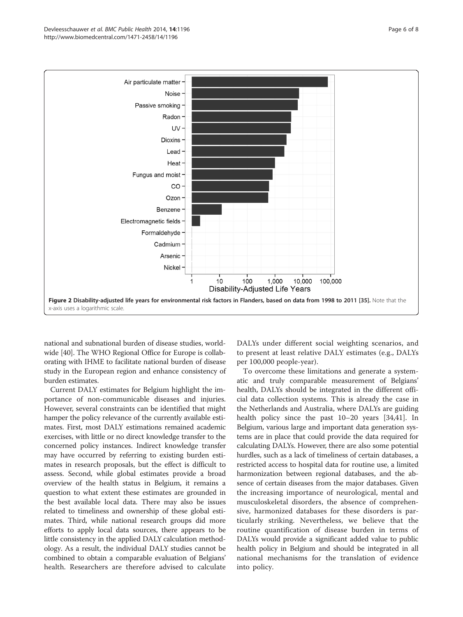<span id="page-5-0"></span>

national and subnational burden of disease studies, worldwide [\[40\]](#page-7-0). The WHO Regional Office for Europe is collaborating with IHME to facilitate national burden of disease study in the European region and enhance consistency of burden estimates.

Current DALY estimates for Belgium highlight the importance of non-communicable diseases and injuries. However, several constraints can be identified that might hamper the policy relevance of the currently available estimates. First, most DALY estimations remained academic exercises, with little or no direct knowledge transfer to the concerned policy instances. Indirect knowledge transfer may have occurred by referring to existing burden estimates in research proposals, but the effect is difficult to assess. Second, while global estimates provide a broad overview of the health status in Belgium, it remains a question to what extent these estimates are grounded in the best available local data. There may also be issues related to timeliness and ownership of these global estimates. Third, while national research groups did more efforts to apply local data sources, there appears to be little consistency in the applied DALY calculation methodology. As a result, the individual DALY studies cannot be combined to obtain a comparable evaluation of Belgians' health. Researchers are therefore advised to calculate DALYs under different social weighting scenarios, and to present at least relative DALY estimates (e.g., DALYs per 100,000 people-year).

To overcome these limitations and generate a systematic and truly comparable measurement of Belgians' health, DALYs should be integrated in the different official data collection systems. This is already the case in the Netherlands and Australia, where DALYs are guiding health policy since the past  $10-20$  years [[34](#page-7-0),[41](#page-7-0)]. In Belgium, various large and important data generation systems are in place that could provide the data required for calculating DALYs. However, there are also some potential hurdles, such as a lack of timeliness of certain databases, a restricted access to hospital data for routine use, a limited harmonization between regional databases, and the absence of certain diseases from the major databases. Given the increasing importance of neurological, mental and musculoskeletal disorders, the absence of comprehensive, harmonized databases for these disorders is particularly striking. Nevertheless, we believe that the routine quantification of disease burden in terms of DALYs would provide a significant added value to public health policy in Belgium and should be integrated in all national mechanisms for the translation of evidence into policy.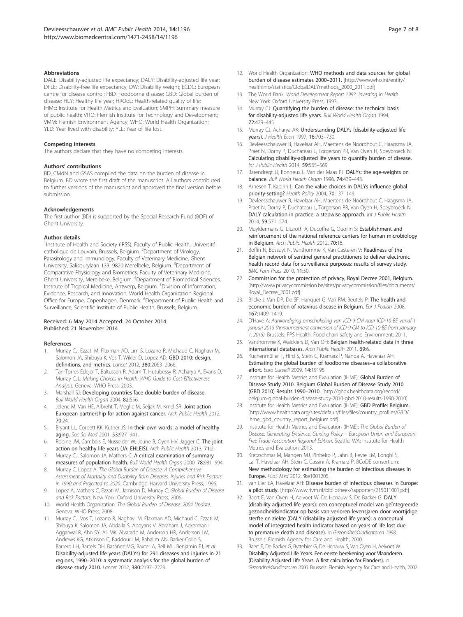#### <span id="page-6-0"></span>Abbreviations

DALE: Disability-adjusted life expectancy; DALY: Disability-adjusted life year; DFLE: Disability-free life expectancy; DW: Disability weight; ECDC: European centre for disease control; FBD: Foodborne disease; GBD: Global burden of disease; HLY: Healthy life year; HRQoL: Health-related quality of life; IHME: Institute for Health Metrics and Evaluation; SMPH: Summary measure of public health; VITO: Flemish Institute for Technology and Development; VMM: Flemish Environment Agency; WHO: World Health Organization; YLD: Year lived with disability; YLL: Year of life lost.

### Competing interests

The authors declare that they have no competing interests.

## Authors' contributions

BD, CMdN and GSAS compiled the data on the burden of disease in Belgium. BD wrote the first draft of the manuscript. All authors contributed to further versions of the manuscript and approved the final version before submission.

#### Acknowledgements

The first author (BD) is supported by the Special Research Fund (BOF) of Ghent University.

#### Author details

<sup>1</sup>Institute of Health and Society (IRSS), Faculty of Public Health, Université catholique de Louvain, Brussels, Belgium. <sup>2</sup>Department of Virology, Parasitology and Immunology, Faculty of Veterinary Medicine, Ghent University, Salisburylaan 133, 9820 Merelbeke, Belgium. <sup>3</sup>Department of Comparative Physiology and Biometrics, Faculty of Veterinary Medicine, Ghent University, Merelbeke, Belgium. <sup>4</sup>Department of Biomedical Sciences, Institute of Tropical Medicine, Antwerp, Belgium. <sup>5</sup>Division of Information, Evidence, Research, and Innovation, World Health Organization Regional Office for Europe, Copenhagen, Denmark. <sup>6</sup>Department of Public Health and Surveillance, Scientific Institute of Public Health, Brussels, Belgium.

#### Received: 6 May 2014 Accepted: 24 October 2014 Published: 21 November 2014

#### References

- 1. Murray CJ, Ezzati M, Flaxman AD, Lim S, Lozano R, Michaud C, Naghavi M, Salomon JA, Shibuya K, Vos T, Wikler D, Lopez AD: GBD 2010: design, definitions, and metrics. Lancet 2012, 380:2063–2066.
- 2. Tan-Torres Edejer T, Baltussen R, Adam T, Hutubessy R, Acharya A, Evans D, Murray CJL: Making Choices in Health: WHO Guide to Cost-Effectiveness Analysis. Geneva: WHO Press; 2003.
- 3. Marshall SJ: Developing countries face double burden of disease. Bull World Health Organ 2004, 82:556.
- Jelenc M, Van HE, Albreht T, Meglic M, Seljak M, Krnel SR: Joint action European partnership for action against cancer. Arch Public Health 2012,  $70.24$
- 5. Bryant LL, Corbett KK, Kutner JS: In their own words: a model of healthy aging. Soc Sci Med 2001, 53:927–941.
- 6. Robine JM, Cambois E, Nusselder W, Jeune B, Oyen HV, Jagger C: The joint action on healthy life years (JA: EHLEIS). Arch Public Health 2013, 71:2.
- 7. Murray CJ, Salomon JA, Mathers C: A critical examination of summary measures of population health. Bull World Health Organ 2000, 78:981–994.
- 8. Murray C, Lopez A: The Global Burden of Disease: A Comprehensive Assessment of Mortality and Disability from Diseases, Injuries and Risk Factors in 1990 and Projected to 2020. Cambridge: Harvard University Press; 1996.
- 9. Lopez A, Mathers C, Ezzati M, Jamison D, Murray C: Global Burden of Disease and Risk Factors. New York: Oxford University Press; 2006.
- 10. World Health Organization: The Global Burden of Disease: 2004 Update. Geneva: WHO Press; 2008.
- 11. Murray CJ, Vos T, Lozano R, Naghavi M, Flaxman AD, Michaud C, Ezzati M, Shibuya K, Salomon JA, Abdalla S, Aboyans V, Abraham J, Ackerman I, Aggarwal R, Ahn SY, Ali MK, Alvarado M, Anderson HR, Anderson LM, Andrews KG, Atkinson C, Baddour LM, Bahalim AN, Barker-Collo S, Barrero LH, Bartels DH, Basáñez MG, Baxter A, Bell ML, Benjamin EJ, et al: Disability-adjusted life years (DALYs) for 291 diseases and injuries in 21 regions, 1990–2010: a systematic analysis for the global burden of disease study 2010. Lancet 2012, 380:2197–2223.
- 12. World Health Organization: WHO methods and data sources for global burden of disease estimates 2000–2011. [\[http://www.who.int/entity/](http://www.who.int/entity/healthinfo/statistics/GlobalDALYmethods_2000_2011.pdf) [healthinfo/statistics/GlobalDALYmethods\\_2000\\_2011.pdf](http://www.who.int/entity/healthinfo/statistics/GlobalDALYmethods_2000_2011.pdf)]
- 13. The World Bank: World Development Report 1993: Investing in Health. New York: Oxford University Press; 1993.
- 14. Murray CJ: Quantifying the burden of disease: the technical basis for disability-adjusted life years. Bull World Health Organ 1994, 72:429–445.
- 15. Murray CJ, Acharya AK: Understanding DALYs (disability-adjusted life years). J Health Econ 1997, 16:703–730.
- 16. Devleesschauwer B, Havelaar AH, Maertens de Noordhout C, Haagsma JA, Praet N, Dorny P, Duchateau L, Torgerson PR, Van Oyen H, Speybroeck N: Calculating disability-adjusted life years to quantify burden of disease. Int J Public Health 2014, 59:565-569.
- 17. Barendregt JJ, Bonneux L, Van der Maas PJ: DALYs: the age-weights on balance. Bull World Health Organ 1996, 74:439–443.
- 18. Arnesen T, Kapiriri L: Can the value choices in DALYs influence global priority-setting? Health Policy 2004, 70:137-149.
- 19. Devleesschauwer B, Havelaar AH, Maertens de Noordhout C, Haagsma JA, Praet N, Dorny P, Duchateau L, Torgerson PR, Van Oyen H, Speybroeck N: DALY calculation in practice: a stepwise approach. Int J Public Health 2014, 59:571–574.
- 20. Muyldermans G, Litzroth A, Ducoffre G, Quoilin S: Establishment and reinforcement of the national reference centers for human microbiology in Belgium. Arch Public Health 2012, 70:16.
- 21. Boffin N, Bossuyt N, Vanthomme K, Van Casteren V: Readiness of the Belgian network of sentinel general practitioners to deliver electronic health record data for surveillance purposes: results of survey study. BMC Fam Pract 2010, 11:50.
- 22. Commission for the protection of privacy, Royal Decree 2001, Belgium. [[http://www.privacycommission.be/sites/privacycommission/files/documents/](http://www.privacycommission.be/sites/privacycommission/files/documents/Royal_Decree_2001.pdf) Royal Decree 2001.pdf
- 23. Bilcke J, Van DP, De SF, Hanquet G, Van RM, Beutels P: The health and economic burden of rotavirus disease in Belgium. Eur J Pediatr 2008, 167:1409–1419.
- 24. D'Havé A: Aankondiging omschakeling van ICD-9-CM naar ICD-10-BE vanaf 1 januari 2015 (Announcement conversion of ICD-9-CM to ICD-10-BE from January 1, 2015). Brussels: FPS Health, Food chain safety and Environment; 2011.
- 25. Vanthomme K, Walckiers D, Van OH: Belgian health-related data in three international databases. Arch Public Health 2011, 69:6.
- 26. Kuchenmüller T, Hird S, Stein C, Kramarz P, Nanda A, Havelaar AH: Estimating the global burden of foodborne diseases–a collaborative effort. Euro Surveill 2009, 14:19195.
- 27. Institute for Health Metrics and Evaluation (IHME): Global Burden of Disease Study 2010. Belgium Global Burden of Disease Study 2010 (GBD 2010) Results 1990–2010. [[http://ghdx.healthdata.org/record/](http://ghdx.healthdata.org/record/belgium-global-burden-disease-study-2010-gbd-2010-results-1990-2010) [belgium-global-burden-disease-study-2010-gbd-2010-results-1990-2010\]](http://ghdx.healthdata.org/record/belgium-global-burden-disease-study-2010-gbd-2010-results-1990-2010)
- 28. Institute for Health Metrics and Evaluation (IHME): GBD Profile: Belgium. [[http://www.healthdata.org/sites/default/files/files/country\\_profiles/GBD/](http://www.healthdata.org/sites/default/files/files/country_profiles/GBD/ihme_gbd_country_report_belgium.pdf) [ihme\\_gbd\\_country\\_report\\_belgium.pdf](http://www.healthdata.org/sites/default/files/files/country_profiles/GBD/ihme_gbd_country_report_belgium.pdf)]
- 29. Institute for Health Metrics and Evaluation (IHME): The Global Burden of Disease: Generating Evidence, Guiding Policy – European Union and European Free Trade Association Regional Edition. Seattle, WA: Institute for Health Metrics and Evaluation; 2013.
- 30. Kretzschmar M, Mangen MJ, Pinheiro P, Jahn B, Fevre EM, Longhi S, Lai T, Havelaar AH, Stein C, Cassini A, Kramarz P, BCoDE consortium: New methodology for estimating the burden of infectious diseases in Europe. PLoS Med 2012, 9:e1001205.
- 31. van Lier EA, Havelaar AH: Disease burden of infectious diseases in Europe: a pilot study. [[http://www.rivm.nl/bibliotheek/rapporten/215011001.pdf\]](http://www.rivm.nl/bibliotheek/rapporten/215011001.pdf)
- 32. Baert E, Van Oyen H, Aelvoet W, De Henauw S, De Backer G: DALY (disability adjusted life years): een conceptueel model van geïntegreerde gezondheidsindicator op basis van verloren levensjaren door voortijdige sterfte en ziekte (DALY (disability adjusted life years): a conceptual model of integrated health indicator based on years of life lost due to premature death and disease). In Gezondheidsindicatoren 1998. Brussels: Flemish Agency for Care and Health; 2000.
- 33. Baert E, De Backer G, Byttebier G, De Henauw S, Van Oyen H, Aelvoet W: Disability Adjusted Life Years. Een eerste berekening voor Vlaanderen (Disability Adjusted Life Years. A first calculation for Flanders). In Gezondheidsindicatoren 2000. Brussels: Flemish Agency for Care and Health; 2002.